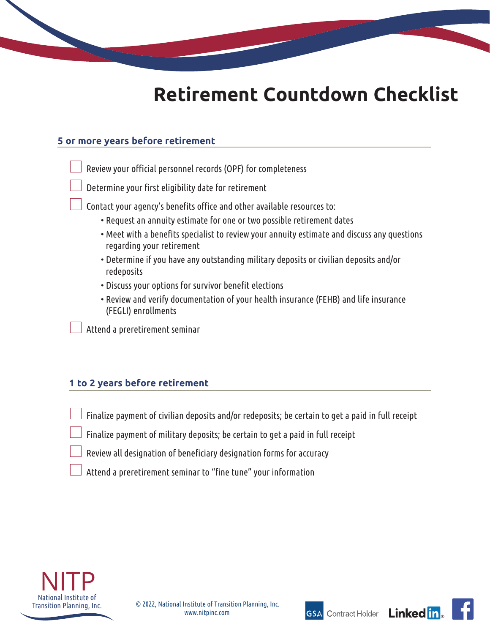

# **Retirement Countdown Checklist**

### **5 or more years before retirement**

- Review your official personnel records (OPF) for completeness
- Determine your first eligibility date for retirement
- Contact your agency's benefits office and other available resources to:
	- Request an annuity estimate for one or two possible retirement dates
	- Meet with a benefits specialist to review your annuity estimate and discuss any questions regarding your retirement
	- Determine if you have any outstanding military deposits or civilian deposits and/or redeposits
	- Discuss your options for survivor benefit elections
	- Review and verify documentation of your health insurance (FEHB) and life insurance (FEGLI) enrollments

Attend a preretirement seminar

### **1 to 2 years before retirement**

- Finalize payment of civilian deposits and/or redeposits; be certain to get a paid in full receipt
- Finalize payment of military deposits; be certain to get a paid in full receipt
- Review all designation of beneficiary designation forms for accuracy
- Attend a preretirement seminar to "fine tune" your information